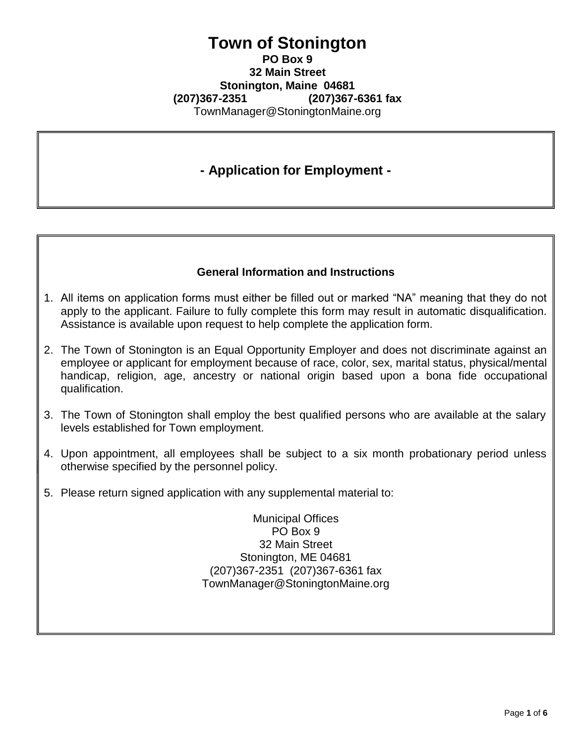## **Town of Stonington PO Box 9 32 Main Street Stonington, Maine 04681 (207)367-2351 (207)367-6361 fax** [TownManager@StoningtonMaine.org](mailto:TownManager@StoningtonMaine.org)

## **- Application for Employment -**

## **General Information and Instructions**

- 1. All items on application forms must either be filled out or marked "NA" meaning that they do not apply to the applicant. Failure to fully complete this form may result in automatic disqualification. Assistance is available upon request to help complete the application form.
- 2. The Town of Stonington is an Equal Opportunity Employer and does not discriminate against an employee or applicant for employment because of race, color, sex, marital status, physical/mental handicap, religion, age, ancestry or national origin based upon a bona fide occupational qualification.
- 3. The Town of Stonington shall employ the best qualified persons who are available at the salary levels established for Town employment.
- 4. Upon appointment, all employees shall be subject to a six month probationary period unless otherwise specified by the personnel policy.
- 5. Please return signed application with any supplemental material to:

Municipal Offices PO Box 9 32 Main Street Stonington, ME 04681 (207)367-2351 (207)367-6361 fax [TownManager@StoningtonMaine.org](mailto:TownManager@StoningtonMaine.org)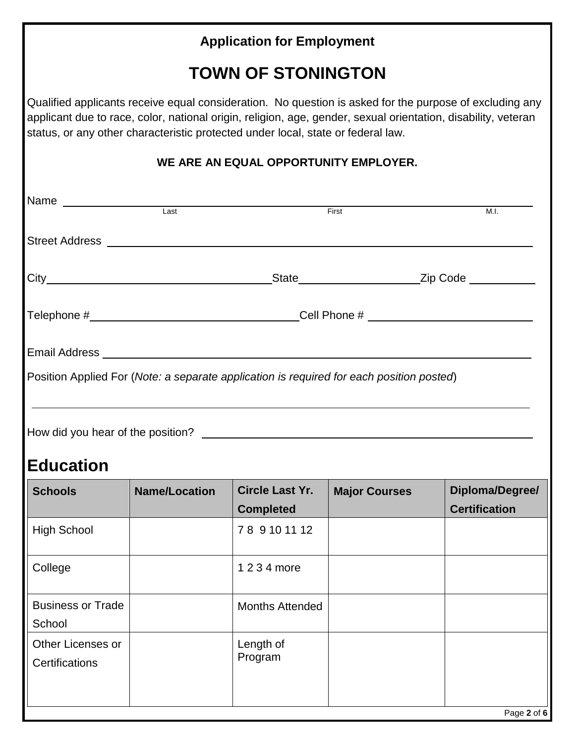|                                     |                                                                                  | <b>Application for Employment</b>          |                                                                                                                                                                                                                          |                                         |
|-------------------------------------|----------------------------------------------------------------------------------|--------------------------------------------|--------------------------------------------------------------------------------------------------------------------------------------------------------------------------------------------------------------------------|-----------------------------------------|
|                                     |                                                                                  | <b>TOWN OF STONINGTON</b>                  |                                                                                                                                                                                                                          |                                         |
|                                     | status, or any other characteristic protected under local, state or federal law. |                                            | Qualified applicants receive equal consideration. No question is asked for the purpose of excluding any<br>applicant due to race, color, national origin, religion, age, gender, sexual orientation, disability, veteran |                                         |
|                                     |                                                                                  | WE ARE AN EQUAL OPPORTUNITY EMPLOYER.      |                                                                                                                                                                                                                          |                                         |
| Name Last Last <sub>Last</sub>      |                                                                                  |                                            | First                                                                                                                                                                                                                    | M.I.                                    |
|                                     | Street Address <b>Example 2018 Contract Address</b>                              |                                            |                                                                                                                                                                                                                          |                                         |
|                                     |                                                                                  |                                            |                                                                                                                                                                                                                          |                                         |
|                                     |                                                                                  |                                            |                                                                                                                                                                                                                          |                                         |
|                                     |                                                                                  |                                            |                                                                                                                                                                                                                          |                                         |
|                                     |                                                                                  |                                            | Position Applied For (Note: a separate application is required for each position posted)                                                                                                                                 |                                         |
| How did you hear of the position?   |                                                                                  |                                            |                                                                                                                                                                                                                          |                                         |
| <b>Education</b>                    |                                                                                  |                                            |                                                                                                                                                                                                                          |                                         |
| <b>Schools</b>                      | <b>Name/Location</b>                                                             | <b>Circle Last Yr.</b><br><b>Completed</b> | <b>Major Courses</b>                                                                                                                                                                                                     | Diploma/Degree/<br><b>Certification</b> |
| <b>High School</b>                  |                                                                                  | 78 9 10 11 12                              |                                                                                                                                                                                                                          |                                         |
| College                             |                                                                                  | 1 2 3 4 more                               |                                                                                                                                                                                                                          |                                         |
| <b>Business or Trade</b><br>School  |                                                                                  | <b>Months Attended</b>                     |                                                                                                                                                                                                                          |                                         |
| Other Licenses or<br>Certifications |                                                                                  | Length of<br>Program                       |                                                                                                                                                                                                                          |                                         |

Page **2** of **6**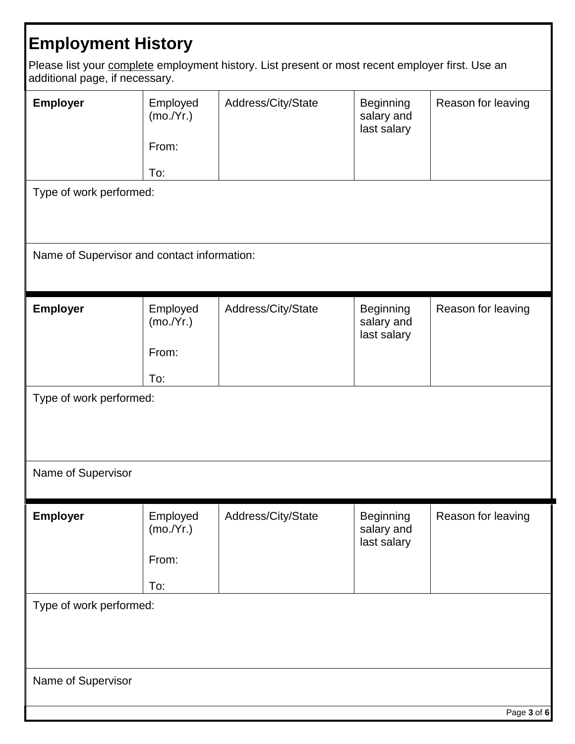## **Employment History**

Please list your complete employment history. List present or most recent employer first. Use an additional page, if necessary.

| Employer<br>Type of work performed:<br>Name of Supervisor and contact information: | Employed<br>(mo./Yr.)<br>From:<br>To: | Address/City/State | <b>Beginning</b><br>salary and<br>last salary | Reason for leaving |  |  |
|------------------------------------------------------------------------------------|---------------------------------------|--------------------|-----------------------------------------------|--------------------|--|--|
|                                                                                    |                                       |                    |                                               |                    |  |  |
| Employer                                                                           | Employed<br>(mo./Yr.)<br>From:<br>To: | Address/City/State | <b>Beginning</b><br>salary and<br>last salary | Reason for leaving |  |  |
| Type of work performed:                                                            |                                       |                    |                                               |                    |  |  |
| Name of Supervisor                                                                 |                                       |                    |                                               |                    |  |  |
|                                                                                    |                                       |                    |                                               |                    |  |  |
| <b>Employer</b>                                                                    | Employed<br>(mo./Yr.)<br>From:<br>To: | Address/City/State | <b>Beginning</b><br>salary and<br>last salary | Reason for leaving |  |  |
| Type of work performed:                                                            |                                       |                    |                                               |                    |  |  |
|                                                                                    |                                       |                    |                                               |                    |  |  |
| Name of Supervisor                                                                 |                                       |                    |                                               |                    |  |  |
|                                                                                    |                                       |                    |                                               |                    |  |  |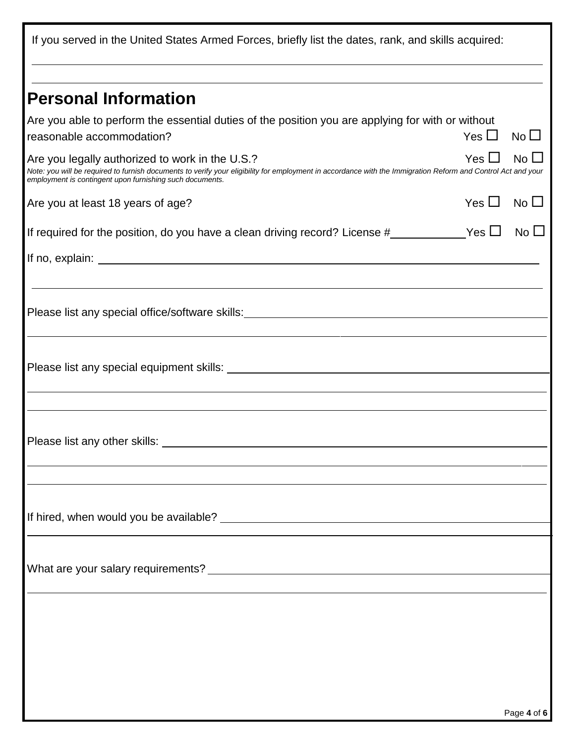If you served in the United States Armed Forces, briefly list the dates, rank, and skills acquired: **Personal Information** Are you able to perform the essential duties of the position you are applying for with or without reasonable accommodation?  $Y$ es  $\square$  No $\square$ Are you legally authorized to work in the U.S.?  $\blacksquare$  Yes  $\square$  No  $\square$ *Note: you will be required to furnish documents to verify your eligibility for employment in accordance with the Immigration Reform and Control Act and your employment is contingent upon furnishing such documents.* Are you at least 18 years of age?  $\Box$  No  $\Box$ If required for the position, do you have a clean driving record? License  $\#$  \_\_\_\_\_\_\_\_\_\_\_\_\_Yes  $\Box$  No  $\Box$ If no, explain: Please list any special office/software skills: Please list any special equipment skills: Please list any other skills: If hired, when would you be available? What are your salary requirements?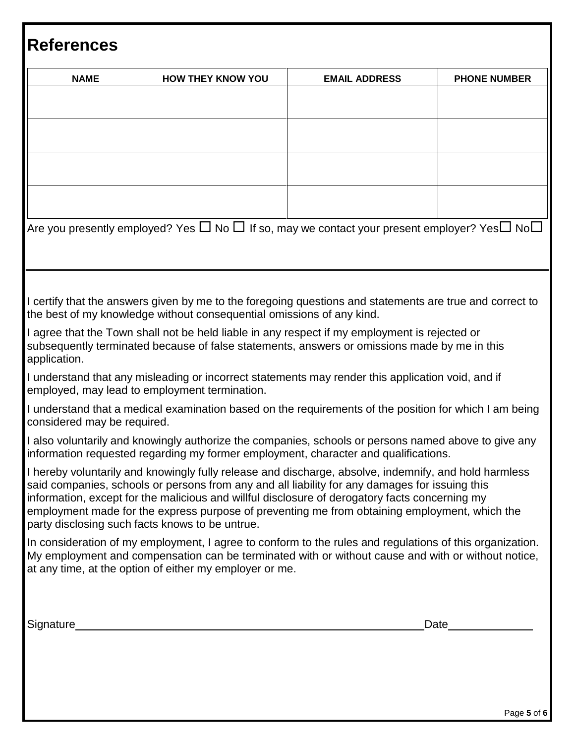| <b>NAME</b>                 | <b>HOW THEY KNOW YOU</b>                                                                                                                                                                                                                                                                                                                                                                                                                                      | <b>EMAIL ADDRESS</b> | <b>PHONE NUMBER</b> |
|-----------------------------|---------------------------------------------------------------------------------------------------------------------------------------------------------------------------------------------------------------------------------------------------------------------------------------------------------------------------------------------------------------------------------------------------------------------------------------------------------------|----------------------|---------------------|
|                             |                                                                                                                                                                                                                                                                                                                                                                                                                                                               |                      |                     |
|                             |                                                                                                                                                                                                                                                                                                                                                                                                                                                               |                      |                     |
|                             |                                                                                                                                                                                                                                                                                                                                                                                                                                                               |                      |                     |
|                             |                                                                                                                                                                                                                                                                                                                                                                                                                                                               |                      |                     |
|                             |                                                                                                                                                                                                                                                                                                                                                                                                                                                               |                      |                     |
|                             | Are you presently employed? Yes $\square$ No $\square$ If so, may we contact your present employer? Yes $\square$ No $\square$                                                                                                                                                                                                                                                                                                                                |                      |                     |
|                             |                                                                                                                                                                                                                                                                                                                                                                                                                                                               |                      |                     |
|                             |                                                                                                                                                                                                                                                                                                                                                                                                                                                               |                      |                     |
|                             | I certify that the answers given by me to the foregoing questions and statements are true and correct to<br>the best of my knowledge without consequential omissions of any kind.                                                                                                                                                                                                                                                                             |                      |                     |
| application.                | I agree that the Town shall not be held liable in any respect if my employment is rejected or<br>subsequently terminated because of false statements, answers or omissions made by me in this                                                                                                                                                                                                                                                                 |                      |                     |
|                             | I understand that any misleading or incorrect statements may render this application void, and if<br>employed, may lead to employment termination.                                                                                                                                                                                                                                                                                                            |                      |                     |
| considered may be required. | I understand that a medical examination based on the requirements of the position for which I am being                                                                                                                                                                                                                                                                                                                                                        |                      |                     |
|                             | I also voluntarily and knowingly authorize the companies, schools or persons named above to give any<br>information requested regarding my former employment, character and qualifications.                                                                                                                                                                                                                                                                   |                      |                     |
|                             | I hereby voluntarily and knowingly fully release and discharge, absolve, indemnify, and hold harmless<br>said companies, schools or persons from any and all liability for any damages for issuing this<br>information, except for the malicious and willful disclosure of derogatory facts concerning my<br>employment made for the express purpose of preventing me from obtaining employment, which the<br>party disclosing such facts knows to be untrue. |                      |                     |
|                             | In consideration of my employment, I agree to conform to the rules and regulations of this organization.<br>My employment and compensation can be terminated with or without cause and with or without notice,<br>at any time, at the option of either my employer or me.                                                                                                                                                                                     |                      |                     |
|                             |                                                                                                                                                                                                                                                                                                                                                                                                                                                               |                      |                     |
|                             |                                                                                                                                                                                                                                                                                                                                                                                                                                                               |                      | Date                |

Г